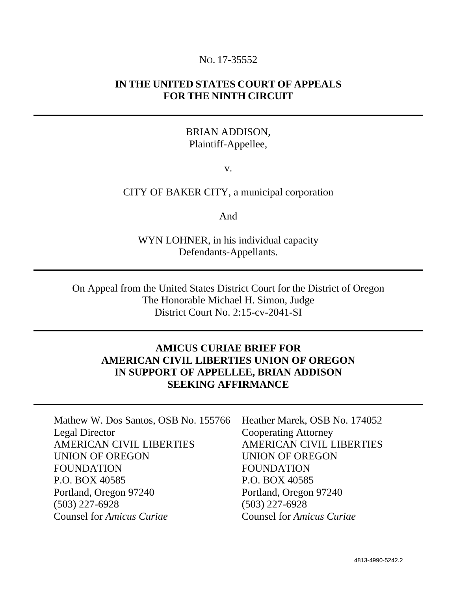### NO. 17-35552

# **IN THE UNITED STATES COURT OF APPEALS FOR THE NINTH CIRCUIT**

# BRIAN ADDISON, Plaintiff-Appellee,

v.

### CITY OF BAKER CITY, a municipal corporation

And

WYN LOHNER, in his individual capacity Defendants-Appellants.

On Appeal from the United States District Court for the District of Oregon The Honorable Michael H. Simon, Judge District Court No. 2:15-cv-2041-SI

# **AMICUS CURIAE BRIEF FOR AMERICAN CIVIL LIBERTIES UNION OF OREGON IN SUPPORT OF APPELLEE, BRIAN ADDISON SEEKING AFFIRMANCE**

| Mathew W. Dos Santos, OSB No. 155766 Heather Marek, OSB No. 174052 |                                  |
|--------------------------------------------------------------------|----------------------------------|
| <b>Legal Director</b>                                              | <b>Cooperating Attorney</b>      |
| <b>AMERICAN CIVIL LIBERTIES</b>                                    | <b>AMERICAN CIVIL LIBERTIES</b>  |
| <b>UNION OF OREGON</b>                                             | <b>UNION OF OREGON</b>           |
| <b>FOUNDATION</b>                                                  | <b>FOUNDATION</b>                |
| P.O. BOX 40585                                                     | P.O. BOX 40585                   |
| Portland, Oregon 97240                                             | Portland, Oregon 97240           |
| $(503)$ 227-6928                                                   | $(503)$ 227-6928                 |
| <b>Counsel for Amicus Curiae</b>                                   | <b>Counsel for Amicus Curiae</b> |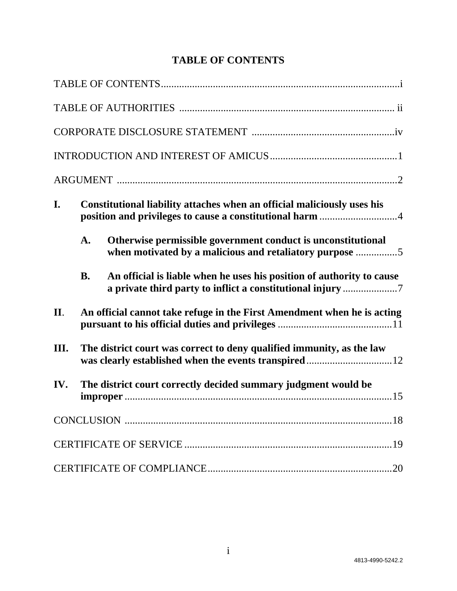# **TABLE OF CONTENTS**

| I.   |           | Constitutional liability attaches when an official maliciously uses his<br>position and privileges to cause a constitutional harm 4 |
|------|-----------|-------------------------------------------------------------------------------------------------------------------------------------|
|      | A.        | Otherwise permissible government conduct is unconstitutional<br>when motivated by a malicious and retaliatory purpose 5             |
|      | <b>B.</b> | An official is liable when he uses his position of authority to cause                                                               |
| II.  |           | An official cannot take refuge in the First Amendment when he is acting                                                             |
| III. |           | The district court was correct to deny qualified immunity, as the law                                                               |
| IV.  |           | The district court correctly decided summary judgment would be                                                                      |
|      |           |                                                                                                                                     |
|      |           |                                                                                                                                     |
|      |           |                                                                                                                                     |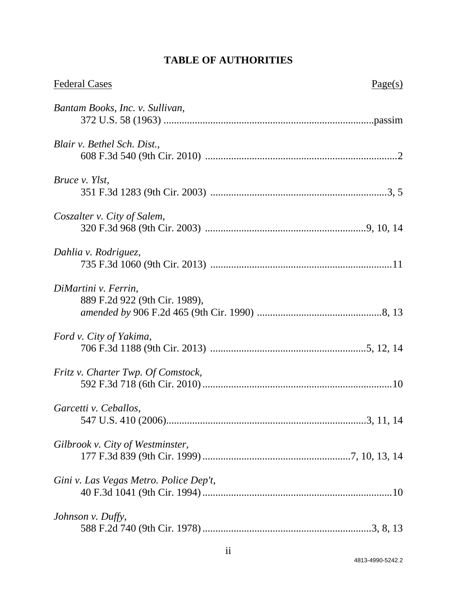# **TABLE OF AUTHORITIES**

| <b>Federal Cases</b>                                  | Page(s) |
|-------------------------------------------------------|---------|
| Bantam Books, Inc. v. Sullivan,                       |         |
| Blair v. Bethel Sch. Dist.,                           |         |
| Bruce v. Ylst,                                        |         |
| Coszalter v. City of Salem,                           |         |
| Dahlia v. Rodriguez,                                  |         |
| DiMartini v. Ferrin,<br>889 F.2d 922 (9th Cir. 1989), |         |
| Ford v. City of Yakima,                               |         |
| Fritz v. Charter Twp. Of Comstock,                    |         |
| Garcetti v. Ceballos.                                 |         |
| Gilbrook v. City of Westminster,                      |         |
| Gini v. Las Vegas Metro. Police Dep't,                |         |
| Johnson v. Duffy,                                     |         |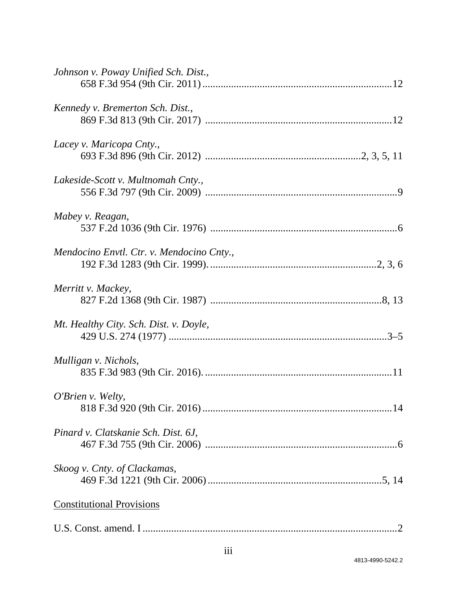| Johnson v. Poway Unified Sch. Dist.,      |
|-------------------------------------------|
| Kennedy v. Bremerton Sch. Dist.,          |
| Lacey v. Maricopa Cnty.,                  |
| Lakeside-Scott v. Multnomah Cnty.,        |
| Mabey v. Reagan,                          |
| Mendocino Envtl. Ctr. v. Mendocino Cnty., |
| Merritt v. Mackey,                        |
| Mt. Healthy City. Sch. Dist. v. Doyle,    |
| Mulligan v. Nichols,                      |
| <i>O'Brien v. Welty,</i>                  |
| Pinard v. Clatskanie Sch. Dist. 6J,       |
| Skoog v. Cnty. of Clackamas,              |
| <b>Constitutional Provisions</b>          |
|                                           |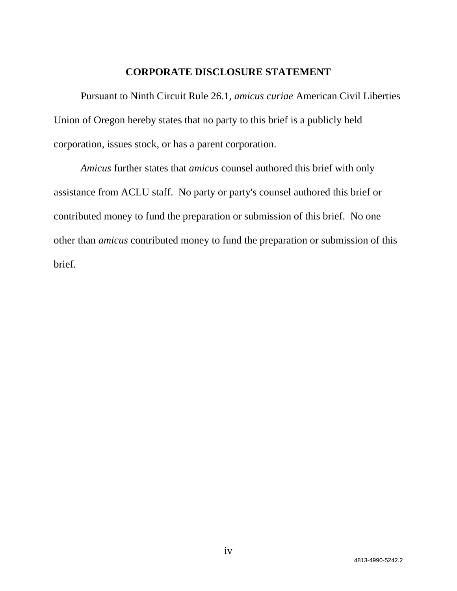### **CORPORATE DISCLOSURE STATEMENT**

Pursuant to Ninth Circuit Rule 26.1, *amicus curiae* American Civil Liberties Union of Oregon hereby states that no party to this brief is a publicly held corporation, issues stock, or has a parent corporation.

*Amicus* further states that *amicus* counsel authored this brief with only assistance from ACLU staff. No party or party's counsel authored this brief or contributed money to fund the preparation or submission of this brief. No one other than *amicus* contributed money to fund the preparation or submission of this brief.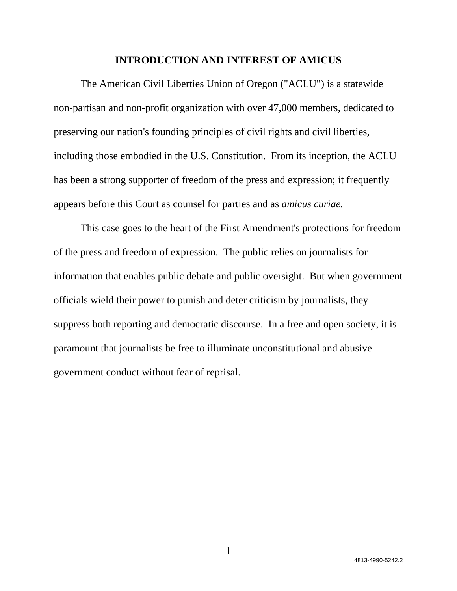#### **INTRODUCTION AND INTEREST OF AMICUS**

 The American Civil Liberties Union of Oregon ("ACLU") is a statewide non-partisan and non-profit organization with over 47,000 members, dedicated to preserving our nation's founding principles of civil rights and civil liberties, including those embodied in the U.S. Constitution. From its inception, the ACLU has been a strong supporter of freedom of the press and expression; it frequently appears before this Court as counsel for parties and as *amicus curiae.* 

This case goes to the heart of the First Amendment's protections for freedom of the press and freedom of expression. The public relies on journalists for information that enables public debate and public oversight. But when government officials wield their power to punish and deter criticism by journalists, they suppress both reporting and democratic discourse. In a free and open society, it is paramount that journalists be free to illuminate unconstitutional and abusive government conduct without fear of reprisal.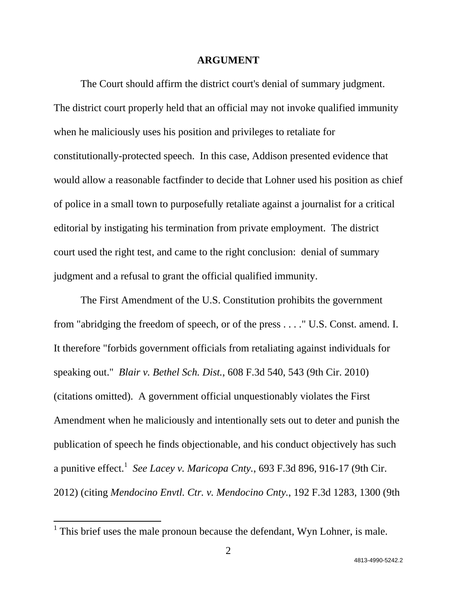#### **ARGUMENT**

The Court should affirm the district court's denial of summary judgment. The district court properly held that an official may not invoke qualified immunity when he maliciously uses his position and privileges to retaliate for constitutionally-protected speech. In this case, Addison presented evidence that would allow a reasonable factfinder to decide that Lohner used his position as chief of police in a small town to purposefully retaliate against a journalist for a critical editorial by instigating his termination from private employment. The district court used the right test, and came to the right conclusion: denial of summary judgment and a refusal to grant the official qualified immunity.

The First Amendment of the U.S. Constitution prohibits the government from "abridging the freedom of speech, or of the press . . . ." U.S. Const. amend. I. It therefore "forbids government officials from retaliating against individuals for speaking out." *Blair v. Bethel Sch. Dist.*, 608 F.3d 540, 543 (9th Cir. 2010) (citations omitted). A government official unquestionably violates the First Amendment when he maliciously and intentionally sets out to deter and punish the publication of speech he finds objectionable, and his conduct objectively has such a punitive effect.<sup>1</sup> See Lacey v. Maricopa Cnty., 693 F.3d 896, 916-17 (9th Cir. 2012) (citing *Mendocino Envtl. Ctr. v. Mendocino Cnty.*, 192 F.3d 1283, 1300 (9th

<sup>&</sup>lt;sup>1</sup> This brief uses the male pronoun because the defendant, Wyn Lohner, is male.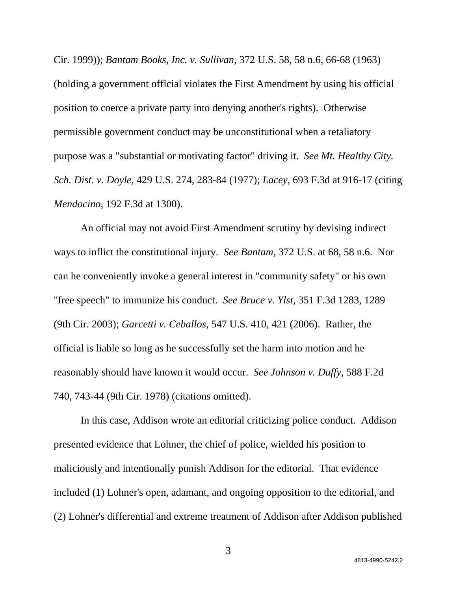Cir. 1999)); *Bantam Books, Inc. v. Sullivan*, 372 U.S. 58, 58 n.6, 66-68 (1963) (holding a government official violates the First Amendment by using his official position to coerce a private party into denying another's rights). Otherwise permissible government conduct may be unconstitutional when a retaliatory purpose was a "substantial or motivating factor" driving it. *See Mt. Healthy City. Sch. Dist. v. Doyle,* 429 U.S. 274, 283-84 (1977); *Lacey*, 693 F.3d at 916-17 (citing *Mendocino*, 192 F.3d at 1300).

An official may not avoid First Amendment scrutiny by devising indirect ways to inflict the constitutional injury. *See Bantam*, 372 U.S. at 68, 58 n.6. Nor can he conveniently invoke a general interest in "community safety" or his own "free speech" to immunize his conduct. *See Bruce v. Ylst*, 351 F.3d 1283, 1289 (9th Cir. 2003); *Garcetti v. Ceballos*, 547 U.S. 410, 421 (2006). Rather, the official is liable so long as he successfully set the harm into motion and he reasonably should have known it would occur. *See Johnson v. Duffy*, 588 F.2d 740, 743-44 (9th Cir. 1978) (citations omitted).

In this case, Addison wrote an editorial criticizing police conduct. Addison presented evidence that Lohner, the chief of police, wielded his position to maliciously and intentionally punish Addison for the editorial. That evidence included (1) Lohner's open, adamant, and ongoing opposition to the editorial, and (2) Lohner's differential and extreme treatment of Addison after Addison published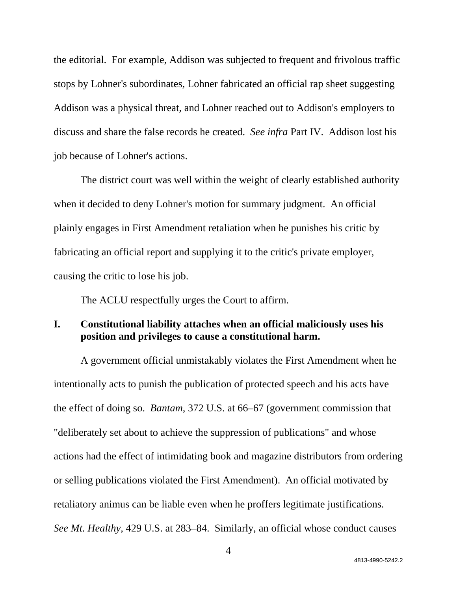the editorial. For example, Addison was subjected to frequent and frivolous traffic stops by Lohner's subordinates, Lohner fabricated an official rap sheet suggesting Addison was a physical threat, and Lohner reached out to Addison's employers to discuss and share the false records he created. *See infra* Part IV. Addison lost his job because of Lohner's actions.

The district court was well within the weight of clearly established authority when it decided to deny Lohner's motion for summary judgment. An official plainly engages in First Amendment retaliation when he punishes his critic by fabricating an official report and supplying it to the critic's private employer, causing the critic to lose his job.

The ACLU respectfully urges the Court to affirm.

### **I. Constitutional liability attaches when an official maliciously uses his position and privileges to cause a constitutional harm.**

A government official unmistakably violates the First Amendment when he intentionally acts to punish the publication of protected speech and his acts have the effect of doing so. *Bantam*, 372 U.S. at 66–67 (government commission that "deliberately set about to achieve the suppression of publications" and whose actions had the effect of intimidating book and magazine distributors from ordering or selling publications violated the First Amendment). An official motivated by retaliatory animus can be liable even when he proffers legitimate justifications. *See Mt. Healthy,* 429 U.S. at 283–84. Similarly, an official whose conduct causes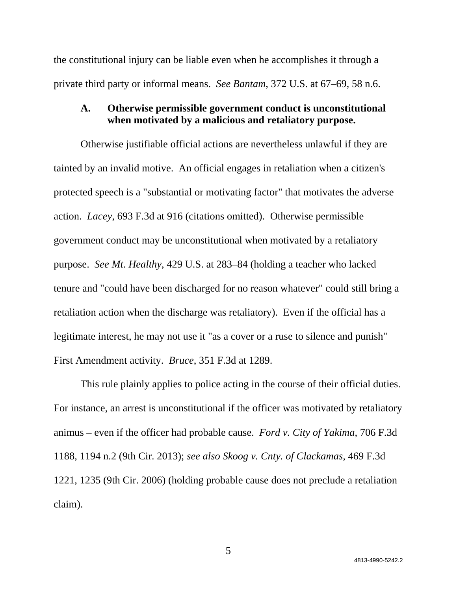the constitutional injury can be liable even when he accomplishes it through a private third party or informal means. *See Bantam*, 372 U.S. at 67–69, 58 n.6.

### **A. Otherwise permissible government conduct is unconstitutional when motivated by a malicious and retaliatory purpose.**

Otherwise justifiable official actions are nevertheless unlawful if they are tainted by an invalid motive. An official engages in retaliation when a citizen's protected speech is a "substantial or motivating factor" that motivates the adverse action. *Lacey*, 693 F.3d at 916 (citations omitted). Otherwise permissible government conduct may be unconstitutional when motivated by a retaliatory purpose. *See Mt. Healthy*, 429 U.S. at 283–84 (holding a teacher who lacked tenure and "could have been discharged for no reason whatever" could still bring a retaliation action when the discharge was retaliatory). Even if the official has a legitimate interest, he may not use it "as a cover or a ruse to silence and punish" First Amendment activity. *Bruce*, 351 F.3d at 1289.

This rule plainly applies to police acting in the course of their official duties. For instance, an arrest is unconstitutional if the officer was motivated by retaliatory animus – even if the officer had probable cause. *Ford v. City of Yakima*, 706 F.3d 1188, 1194 n.2 (9th Cir. 2013); *see also Skoog v. Cnty. of Clackamas,* 469 F.3d 1221, 1235 (9th Cir. 2006) (holding probable cause does not preclude a retaliation claim).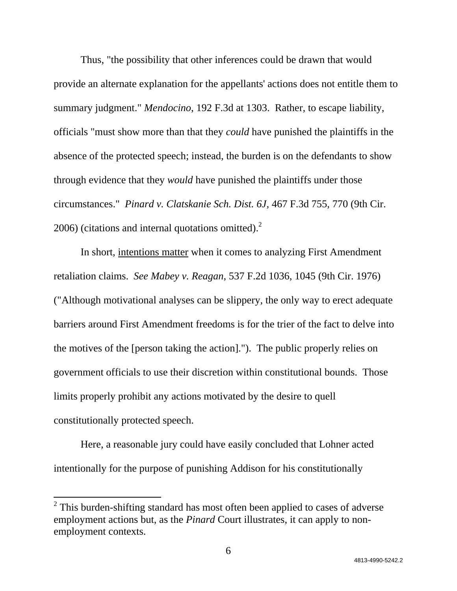Thus, "the possibility that other inferences could be drawn that would provide an alternate explanation for the appellants' actions does not entitle them to summary judgment." *Mendocino*, 192 F.3d at 1303. Rather, to escape liability, officials "must show more than that they *could* have punished the plaintiffs in the absence of the protected speech; instead, the burden is on the defendants to show through evidence that they *would* have punished the plaintiffs under those circumstances." *Pinard v. Clatskanie Sch. Dist. 6J*, 467 F.3d 755, 770 (9th Cir.  $2006$ ) (citations and internal quotations omitted).<sup>2</sup>

In short, intentions matter when it comes to analyzing First Amendment retaliation claims. *See Mabey v. Reagan*, 537 F.2d 1036, 1045 (9th Cir. 1976) ("Although motivational analyses can be slippery, the only way to erect adequate barriers around First Amendment freedoms is for the trier of the fact to delve into the motives of the [person taking the action]."). The public properly relies on government officials to use their discretion within constitutional bounds. Those limits properly prohibit any actions motivated by the desire to quell constitutionally protected speech.

Here, a reasonable jury could have easily concluded that Lohner acted intentionally for the purpose of punishing Addison for his constitutionally

 $2$  This burden-shifting standard has most often been applied to cases of adverse employment actions but, as the *Pinard* Court illustrates, it can apply to nonemployment contexts.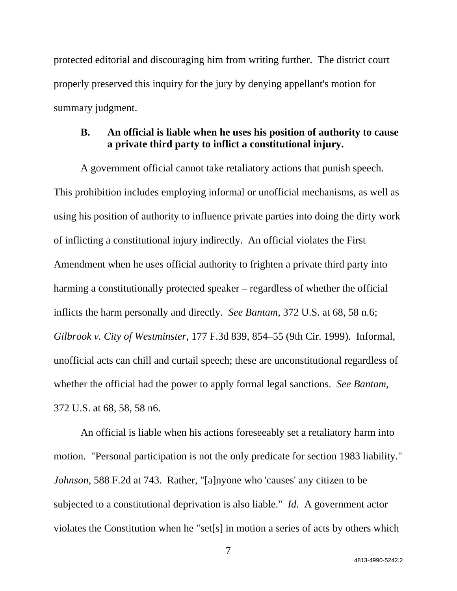protected editorial and discouraging him from writing further. The district court properly preserved this inquiry for the jury by denying appellant's motion for summary judgment.

# **B. An official is liable when he uses his position of authority to cause a private third party to inflict a constitutional injury.**

A government official cannot take retaliatory actions that punish speech. This prohibition includes employing informal or unofficial mechanisms, as well as using his position of authority to influence private parties into doing the dirty work of inflicting a constitutional injury indirectly. An official violates the First Amendment when he uses official authority to frighten a private third party into harming a constitutionally protected speaker – regardless of whether the official inflicts the harm personally and directly. *See Bantam*, 372 U.S. at 68, 58 n.6; *Gilbrook v. City of Westminster,* 177 F.3d 839, 854–55 (9th Cir. 1999). Informal, unofficial acts can chill and curtail speech; these are unconstitutional regardless of whether the official had the power to apply formal legal sanctions. *See Bantam*, 372 U.S. at 68, 58, 58 n6.

An official is liable when his actions foreseeably set a retaliatory harm into motion. "Personal participation is not the only predicate for section 1983 liability." *Johnson*, 588 F.2d at 743. Rather, "[a]nyone who 'causes' any citizen to be subjected to a constitutional deprivation is also liable." *Id.* A government actor violates the Constitution when he "set[s] in motion a series of acts by others which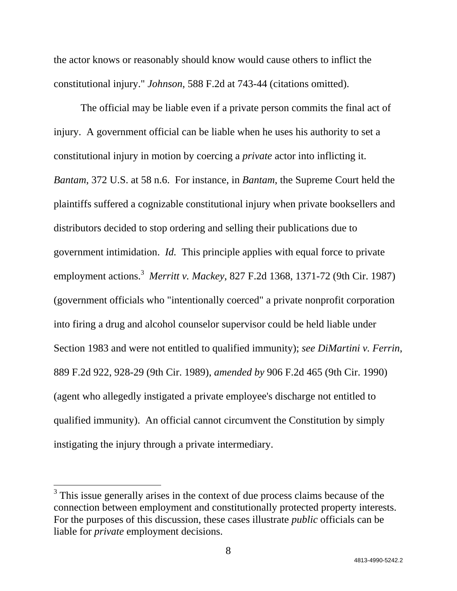the actor knows or reasonably should know would cause others to inflict the constitutional injury." *Johnson*, 588 F.2d at 743-44 (citations omitted).

The official may be liable even if a private person commits the final act of injury. A government official can be liable when he uses his authority to set a constitutional injury in motion by coercing a *private* actor into inflicting it. *Bantam*, 372 U.S. at 58 n.6. For instance, in *Bantam*, the Supreme Court held the plaintiffs suffered a cognizable constitutional injury when private booksellers and distributors decided to stop ordering and selling their publications due to government intimidation. *Id.* This principle applies with equal force to private employment actions.<sup>3</sup> Merritt v. Mackey, 827 F.2d 1368, 1371-72 (9th Cir. 1987) (government officials who "intentionally coerced" a private nonprofit corporation into firing a drug and alcohol counselor supervisor could be held liable under Section 1983 and were not entitled to qualified immunity); *see DiMartini v. Ferrin*, 889 F.2d 922, 928-29 (9th Cir. 1989), *amended by* 906 F.2d 465 (9th Cir. 1990) (agent who allegedly instigated a private employee's discharge not entitled to qualified immunity). An official cannot circumvent the Constitution by simply instigating the injury through a private intermediary.

 $3$  This issue generally arises in the context of due process claims because of the connection between employment and constitutionally protected property interests. For the purposes of this discussion, these cases illustrate *public* officials can be liable for *private* employment decisions.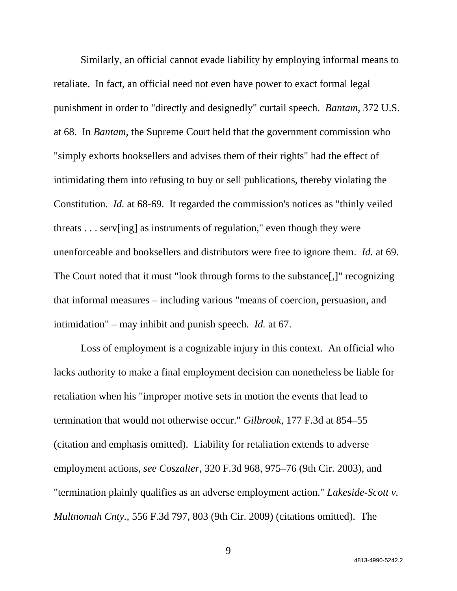Similarly, an official cannot evade liability by employing informal means to retaliate. In fact, an official need not even have power to exact formal legal punishment in order to "directly and designedly" curtail speech. *Bantam*, 372 U.S. at 68. In *Bantam,* the Supreme Court held that the government commission who "simply exhorts booksellers and advises them of their rights" had the effect of intimidating them into refusing to buy or sell publications, thereby violating the Constitution. *Id.* at 68-69. It regarded the commission's notices as "thinly veiled threats . . . serv[ing] as instruments of regulation," even though they were unenforceable and booksellers and distributors were free to ignore them. *Id.* at 69. The Court noted that it must "look through forms to the substance[,]" recognizing that informal measures – including various "means of coercion, persuasion, and intimidation" – may inhibit and punish speech. *Id.* at 67.

Loss of employment is a cognizable injury in this context. An official who lacks authority to make a final employment decision can nonetheless be liable for retaliation when his "improper motive sets in motion the events that lead to termination that would not otherwise occur." *Gilbrook,* 177 F.3d at 854–55 (citation and emphasis omitted). Liability for retaliation extends to adverse employment actions, *see Coszalter*, 320 F.3d 968, 975–76 (9th Cir. 2003), and "termination plainly qualifies as an adverse employment action." *Lakeside-Scott v. Multnomah Cnty.,* 556 F.3d 797, 803 (9th Cir. 2009) (citations omitted). The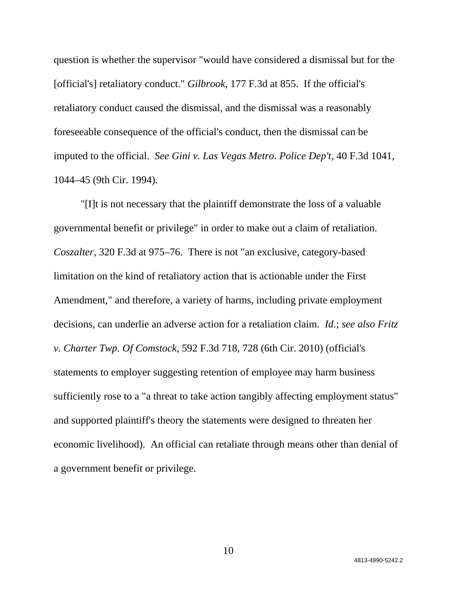question is whether the supervisor "would have considered a dismissal but for the [official's] retaliatory conduct." *Gilbrook,* 177 F.3d at 855. If the official's retaliatory conduct caused the dismissal, and the dismissal was a reasonably foreseeable consequence of the official's conduct, then the dismissal can be imputed to the official. *See Gini v. Las Vegas Metro. Police Dep't*, 40 F.3d 1041, 1044–45 (9th Cir. 1994).

"[I]t is not necessary that the plaintiff demonstrate the loss of a valuable governmental benefit or privilege" in order to make out a claim of retaliation. *Coszalter*, 320 F.3d at 975–76. There is not "an exclusive, category-based limitation on the kind of retaliatory action that is actionable under the First Amendment," and therefore, a variety of harms, including private employment decisions, can underlie an adverse action for a retaliation claim. *Id.*; *see also Fritz v. Charter Twp. Of Comstock*, 592 F.3d 718, 728 (6th Cir. 2010) (official's statements to employer suggesting retention of employee may harm business sufficiently rose to a "a threat to take action tangibly affecting employment status" and supported plaintiff's theory the statements were designed to threaten her economic livelihood). An official can retaliate through means other than denial of a government benefit or privilege.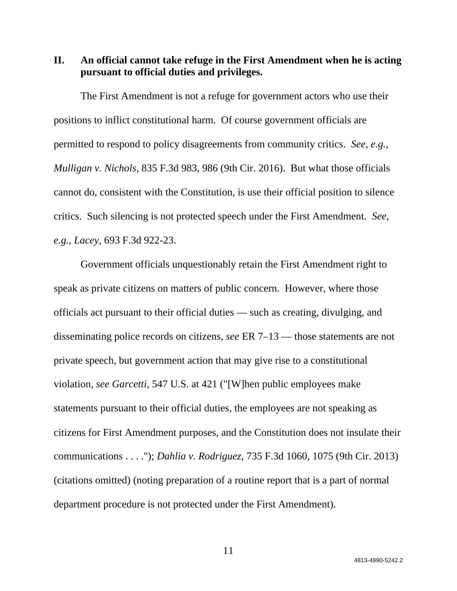**II. An official cannot take refuge in the First Amendment when he is acting pursuant to official duties and privileges.** 

The First Amendment is not a refuge for government actors who use their positions to inflict constitutional harm. Of course government officials are permitted to respond to policy disagreements from community critics. *See, e.g.*, *Mulligan v. Nichols*, 835 F.3d 983, 986 (9th Cir. 2016). But what those officials cannot do, consistent with the Constitution, is use their official position to silence critics. Such silencing is not protected speech under the First Amendment. *See, e.g., Lacey*, 693 F.3d 922-23.

Government officials unquestionably retain the First Amendment right to speak as private citizens on matters of public concern. However, where those officials act pursuant to their official duties — such as creating, divulging, and disseminating police records on citizens, *see* ER 7–13 — those statements are not private speech, but government action that may give rise to a constitutional violation, *see Garcetti*, 547 U.S. at 421 ("[W]hen public employees make statements pursuant to their official duties, the employees are not speaking as citizens for First Amendment purposes, and the Constitution does not insulate their communications . . . ."); *Dahlia v. Rodriguez*, 735 F.3d 1060, 1075 (9th Cir. 2013) (citations omitted) (noting preparation of a routine report that is a part of normal department procedure is not protected under the First Amendment).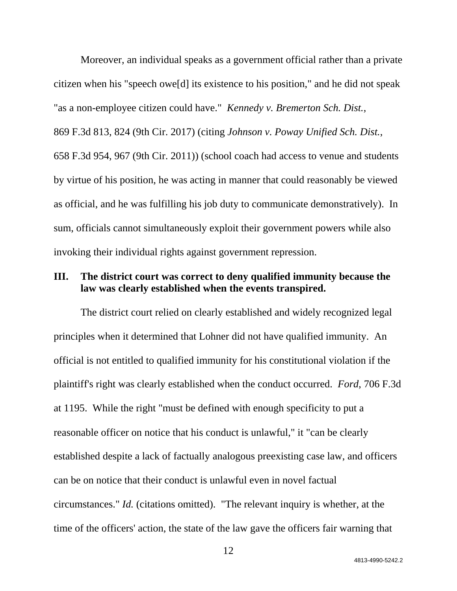Moreover, an individual speaks as a government official rather than a private citizen when his "speech owe[d] its existence to his position," and he did not speak "as a non-employee citizen could have." *Kennedy v. Bremerton Sch. Dist.*, 869 F.3d 813, 824 (9th Cir. 2017) (citing *Johnson v. Poway Unified Sch. Dist.*, 658 F.3d 954, 967 (9th Cir. 2011)) (school coach had access to venue and students by virtue of his position, he was acting in manner that could reasonably be viewed as official, and he was fulfilling his job duty to communicate demonstratively). In sum, officials cannot simultaneously exploit their government powers while also invoking their individual rights against government repression.

### **III. The district court was correct to deny qualified immunity because the law was clearly established when the events transpired.**

The district court relied on clearly established and widely recognized legal principles when it determined that Lohner did not have qualified immunity. An official is not entitled to qualified immunity for his constitutional violation if the plaintiff's right was clearly established when the conduct occurred. *Ford*, 706 F.3d at 1195. While the right "must be defined with enough specificity to put a reasonable officer on notice that his conduct is unlawful," it "can be clearly established despite a lack of factually analogous preexisting case law, and officers can be on notice that their conduct is unlawful even in novel factual circumstances." *Id.* (citations omitted). "The relevant inquiry is whether, at the time of the officers' action, the state of the law gave the officers fair warning that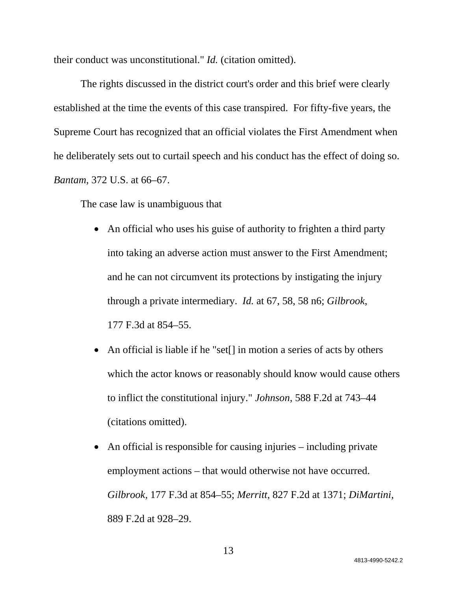their conduct was unconstitutional." *Id.* (citation omitted).

The rights discussed in the district court's order and this brief were clearly established at the time the events of this case transpired. For fifty-five years, the Supreme Court has recognized that an official violates the First Amendment when he deliberately sets out to curtail speech and his conduct has the effect of doing so. *Bantam*, 372 U.S. at 66–67.

The case law is unambiguous that

- An official who uses his guise of authority to frighten a third party into taking an adverse action must answer to the First Amendment; and he can not circumvent its protections by instigating the injury through a private intermediary. *Id.* at 67, 58, 58 n6; *Gilbrook*, 177 F.3d at 854–55.
- An official is liable if he "set[] in motion a series of acts by others which the actor knows or reasonably should know would cause others to inflict the constitutional injury." *Johnson*, 588 F.2d at 743–44 (citations omitted).
- An official is responsible for causing injuries including private employment actions – that would otherwise not have occurred. *Gilbrook,* 177 F.3d at 854–55; *Merritt*, 827 F.2d at 1371; *DiMartini*, 889 F.2d at 928–29.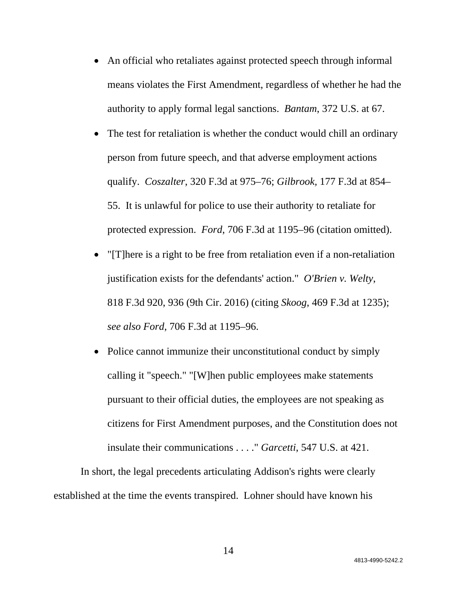- An official who retaliates against protected speech through informal means violates the First Amendment, regardless of whether he had the authority to apply formal legal sanctions. *Bantam*, 372 U.S. at 67.
- The test for retaliation is whether the conduct would chill an ordinary person from future speech, and that adverse employment actions qualify. *Coszalter*, 320 F.3d at 975–76; *Gilbrook,* 177 F.3d at 854– 55. It is unlawful for police to use their authority to retaliate for protected expression. *Ford*, 706 F.3d at 1195–96 (citation omitted).
- "[T]here is a right to be free from retaliation even if a non-retaliation justification exists for the defendants' action." *O'Brien v. Welty*, 818 F.3d 920, 936 (9th Cir. 2016) (citing *Skoog*, 469 F.3d at 1235); *see also Ford*, 706 F.3d at 1195–96.
- Police cannot immunize their unconstitutional conduct by simply calling it "speech." "[W]hen public employees make statements pursuant to their official duties, the employees are not speaking as citizens for First Amendment purposes, and the Constitution does not insulate their communications . . . ." *Garcetti*, 547 U.S. at 421.

In short, the legal precedents articulating Addison's rights were clearly established at the time the events transpired. Lohner should have known his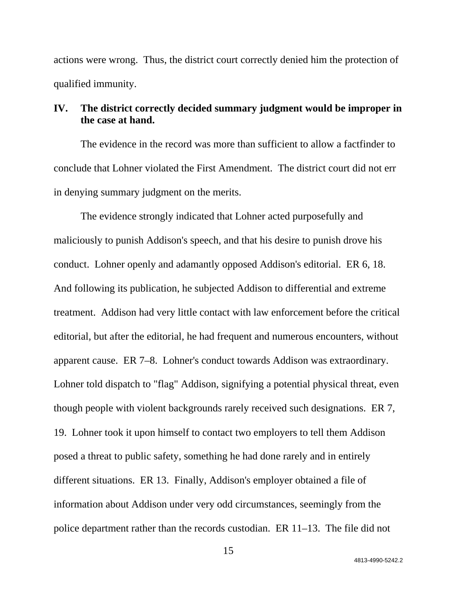actions were wrong. Thus, the district court correctly denied him the protection of qualified immunity.

# **IV. The district correctly decided summary judgment would be improper in the case at hand.**

The evidence in the record was more than sufficient to allow a factfinder to conclude that Lohner violated the First Amendment. The district court did not err in denying summary judgment on the merits.

The evidence strongly indicated that Lohner acted purposefully and maliciously to punish Addison's speech, and that his desire to punish drove his conduct. Lohner openly and adamantly opposed Addison's editorial. ER 6, 18. And following its publication, he subjected Addison to differential and extreme treatment. Addison had very little contact with law enforcement before the critical editorial, but after the editorial, he had frequent and numerous encounters, without apparent cause. ER 7–8. Lohner's conduct towards Addison was extraordinary. Lohner told dispatch to "flag" Addison, signifying a potential physical threat, even though people with violent backgrounds rarely received such designations. ER 7, 19. Lohner took it upon himself to contact two employers to tell them Addison posed a threat to public safety, something he had done rarely and in entirely different situations. ER 13. Finally, Addison's employer obtained a file of information about Addison under very odd circumstances, seemingly from the police department rather than the records custodian. ER 11–13. The file did not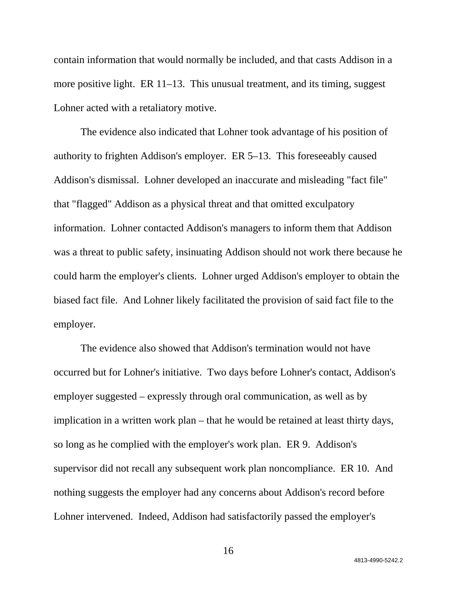contain information that would normally be included, and that casts Addison in a more positive light. ER 11–13. This unusual treatment, and its timing, suggest Lohner acted with a retaliatory motive.

The evidence also indicated that Lohner took advantage of his position of authority to frighten Addison's employer. ER 5–13. This foreseeably caused Addison's dismissal. Lohner developed an inaccurate and misleading "fact file" that "flagged" Addison as a physical threat and that omitted exculpatory information. Lohner contacted Addison's managers to inform them that Addison was a threat to public safety, insinuating Addison should not work there because he could harm the employer's clients. Lohner urged Addison's employer to obtain the biased fact file. And Lohner likely facilitated the provision of said fact file to the employer.

The evidence also showed that Addison's termination would not have occurred but for Lohner's initiative. Two days before Lohner's contact, Addison's employer suggested – expressly through oral communication, as well as by implication in a written work plan – that he would be retained at least thirty days, so long as he complied with the employer's work plan. ER 9. Addison's supervisor did not recall any subsequent work plan noncompliance. ER 10. And nothing suggests the employer had any concerns about Addison's record before Lohner intervened. Indeed, Addison had satisfactorily passed the employer's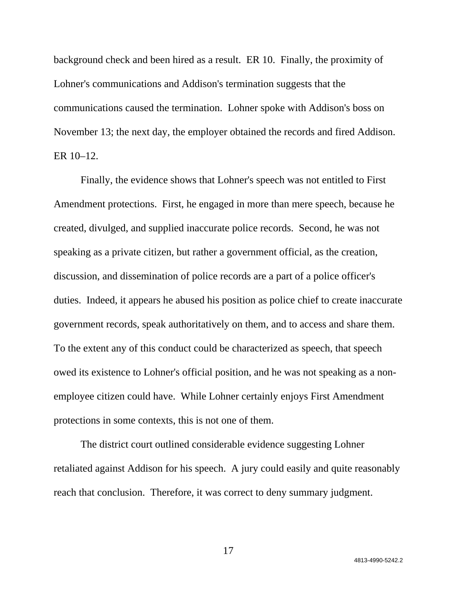background check and been hired as a result. ER 10. Finally, the proximity of Lohner's communications and Addison's termination suggests that the communications caused the termination. Lohner spoke with Addison's boss on November 13; the next day, the employer obtained the records and fired Addison. ER 10–12.

Finally, the evidence shows that Lohner's speech was not entitled to First Amendment protections. First, he engaged in more than mere speech, because he created, divulged, and supplied inaccurate police records. Second, he was not speaking as a private citizen, but rather a government official, as the creation, discussion, and dissemination of police records are a part of a police officer's duties. Indeed, it appears he abused his position as police chief to create inaccurate government records, speak authoritatively on them, and to access and share them. To the extent any of this conduct could be characterized as speech, that speech owed its existence to Lohner's official position, and he was not speaking as a nonemployee citizen could have. While Lohner certainly enjoys First Amendment protections in some contexts, this is not one of them.

The district court outlined considerable evidence suggesting Lohner retaliated against Addison for his speech. A jury could easily and quite reasonably reach that conclusion. Therefore, it was correct to deny summary judgment.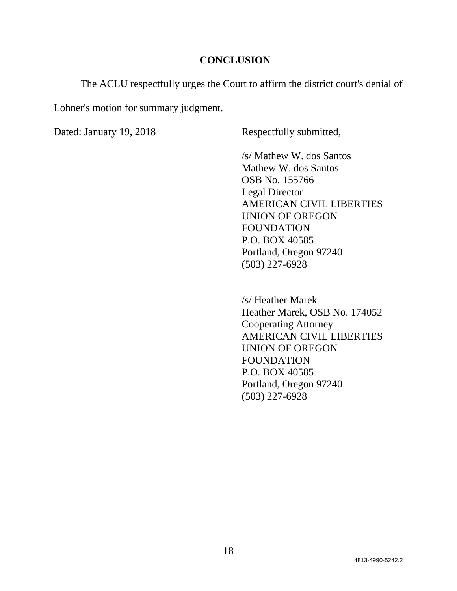### **CONCLUSION**

The ACLU respectfully urges the Court to affirm the district court's denial of

Lohner's motion for summary judgment.

Dated: January 19, 2018 Respectfully submitted,

/s/ Mathew W. dos Santos Mathew W. dos Santos OSB No. 155766 Legal Director AMERICAN CIVIL LIBERTIES UNION OF OREGON FOUNDATION P.O. BOX 40585 Portland, Oregon 97240 (503) 227-6928

 /s/ Heather Marek Heather Marek, OSB No. 174052 Cooperating Attorney AMERICAN CIVIL LIBERTIES UNION OF OREGON FOUNDATION P.O. BOX 40585 Portland, Oregon 97240 (503) 227-6928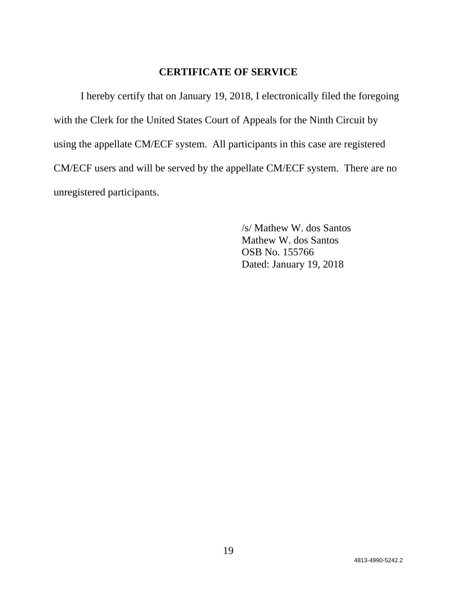# **CERTIFICATE OF SERVICE**

I hereby certify that on January 19, 2018, I electronically filed the foregoing with the Clerk for the United States Court of Appeals for the Ninth Circuit by using the appellate CM/ECF system. All participants in this case are registered CM/ECF users and will be served by the appellate CM/ECF system. There are no unregistered participants.

> /s/ Mathew W. dos Santos Mathew W. dos Santos OSB No. 155766 Dated: January 19, 2018